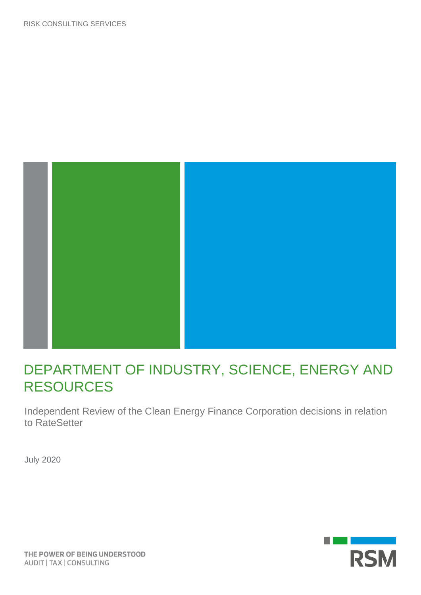

# DEPARTMENT OF INDUSTRY, SCIENCE, ENERGY AND RESOURCES

Independent Review of the Clean Energy Finance Corporation decisions in relation to RateSetter

July 2020

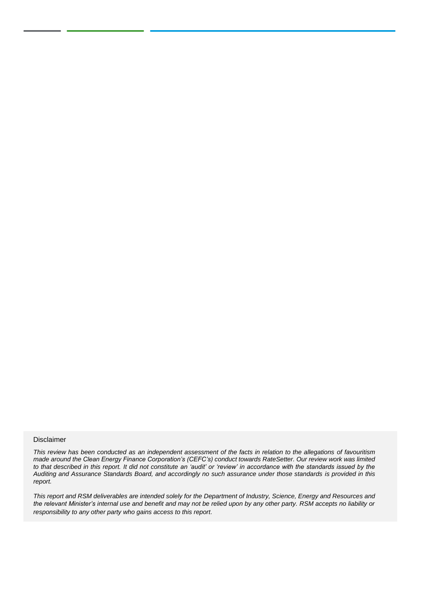#### Disclaimer

*This review has been conducted as an independent assessment of the facts in relation to the allegations of favouritism made around the Clean Energy Finance Corporation's (CEFC's) conduct towards RateSetter. Our review work was limited to that described in this report. It did not constitute an 'audit' or 'review' in accordance with the standards issued by the Auditing and Assurance Standards Board, and accordingly no such assurance under those standards is provided in this report.*

*This report and RSM deliverables are intended solely for the Department of Industry, Science, Energy and Resources and the relevant Minister's internal use and benefit and may not be relied upon by any other party. RSM accepts no liability or responsibility to any other party who gains access to this report.*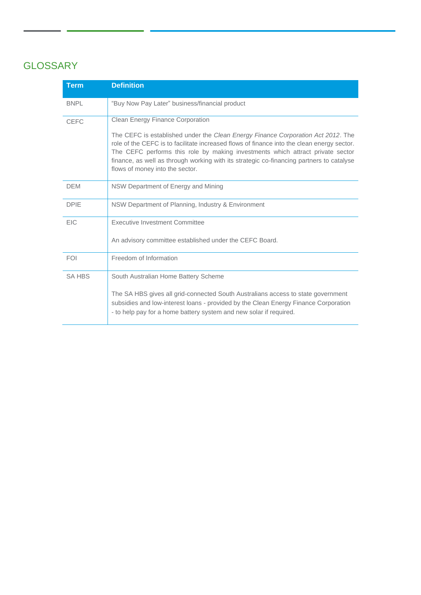# **GLOSSARY**

| <b>Term</b>   | <b>Definition</b>                                                                                                                                                                                                                                                                                                                                                                               |
|---------------|-------------------------------------------------------------------------------------------------------------------------------------------------------------------------------------------------------------------------------------------------------------------------------------------------------------------------------------------------------------------------------------------------|
| <b>BNPL</b>   | "Buy Now Pay Later" business/financial product                                                                                                                                                                                                                                                                                                                                                  |
| <b>CEFC</b>   | <b>Clean Energy Finance Corporation</b>                                                                                                                                                                                                                                                                                                                                                         |
|               | The CEFC is established under the Clean Energy Finance Corporation Act 2012. The<br>role of the CEFC is to facilitate increased flows of finance into the clean energy sector.<br>The CEFC performs this role by making investments which attract private sector<br>finance, as well as through working with its strategic co-financing partners to catalyse<br>flows of money into the sector. |
| <b>DEM</b>    | NSW Department of Energy and Mining                                                                                                                                                                                                                                                                                                                                                             |
| <b>DPIE</b>   | NSW Department of Planning, Industry & Environment                                                                                                                                                                                                                                                                                                                                              |
| <b>EIC</b>    | Executive Investment Committee                                                                                                                                                                                                                                                                                                                                                                  |
|               | An advisory committee established under the CEFC Board.                                                                                                                                                                                                                                                                                                                                         |
| <b>FOI</b>    | Freedom of Information                                                                                                                                                                                                                                                                                                                                                                          |
| <b>SA HBS</b> | South Australian Home Battery Scheme                                                                                                                                                                                                                                                                                                                                                            |
|               | The SA HBS gives all grid-connected South Australians access to state government<br>subsidies and low-interest loans - provided by the Clean Energy Finance Corporation<br>- to help pay for a home battery system and new solar if required.                                                                                                                                                   |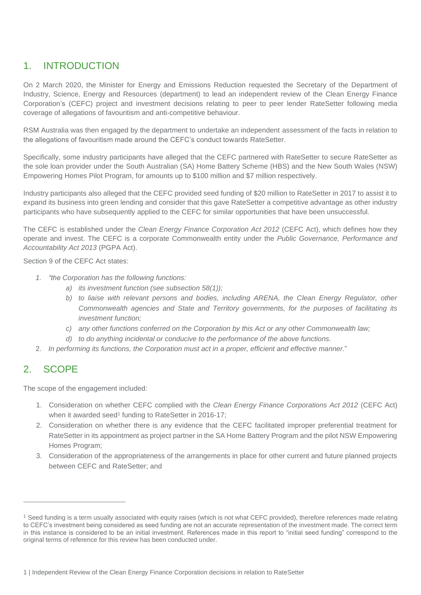## 1. INTRODUCTION

On 2 March 2020, the Minister for Energy and Emissions Reduction requested the Secretary of the Department of Industry, Science, Energy and Resources (department) to lead an independent review of the Clean Energy Finance Corporation's (CEFC) project and investment decisions relating to peer to peer lender RateSetter following media coverage of allegations of favouritism and anti-competitive behaviour.

RSM Australia was then engaged by the department to undertake an independent assessment of the facts in relation to the allegations of favouritism made around the CEFC's conduct towards RateSetter.

Specifically, some industry participants have alleged that the CEFC partnered with RateSetter to secure RateSetter as the sole loan provider under the South Australian (SA) Home Battery Scheme (HBS) and the New South Wales (NSW) Empowering Homes Pilot Program, for amounts up to \$100 million and \$7 million respectively.

Industry participants also alleged that the CEFC provided seed funding of \$20 million to RateSetter in 2017 to assist it to expand its business into green lending and consider that this gave RateSetter a competitive advantage as other industry participants who have subsequently applied to the CEFC for similar opportunities that have been unsuccessful.

The CEFC is established under the *Clean Energy Finance Corporation Act 2012* (CEFC Act), which defines how they operate and invest. The CEFC is a corporate Commonwealth entity under the *Public Governance, Performance and Accountability Act 2013* (PGPA Act).

Section 9 of the CEFC Act states:

- *1. "the Corporation has the following functions:*
	- *a) its investment function (see subsection 58(1));*
	- *b) to liaise with relevant persons and bodies, including ARENA, the Clean Energy Regulator, other Commonwealth agencies and State and Territory governments, for the purposes of facilitating its investment function;*
	- *c) any other functions conferred on the Corporation by this Act or any other Commonwealth law;*
	- *d) to do anything incidental or conducive to the performance of the above functions.*
- 2. *In performing its functions, the Corporation must act in a proper, efficient and effective manner.*"

### 2. SCOPE

The scope of the engagement included:

- 1. Consideration on whether CEFC complied with the *Clean Energy Finance Corporations Act 2012* (CEFC Act) when it awarded seed<sup>1</sup> funding to RateSetter in 2016-17;
- 2. Consideration on whether there is any evidence that the CEFC facilitated improper preferential treatment for RateSetter in its appointment as project partner in the SA Home Battery Program and the pilot NSW Empowering Homes Program;
- 3. Consideration of the appropriateness of the arrangements in place for other current and future planned projects between CEFC and RateSetter; and

<sup>&</sup>lt;sup>1</sup> Seed funding is a term usually associated with equity raises (which is not what CEFC provided), therefore references made relating to CEFC's investment being considered as seed funding are not an accurate representation of the investment made. The correct term in this instance is considered to be an initial investment. References made in this report to "initial seed funding" correspond to the original terms of reference for this review has been conducted under.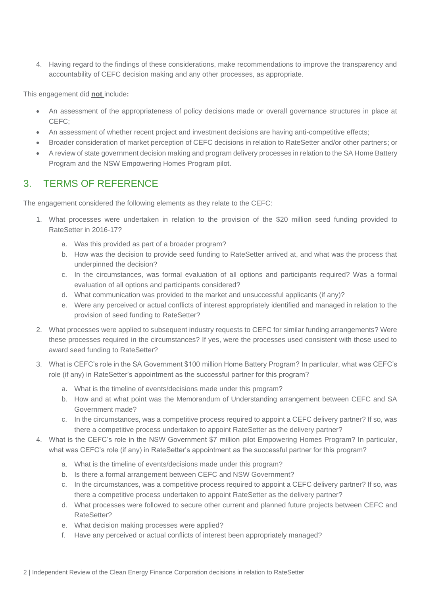4. Having regard to the findings of these considerations, make recommendations to improve the transparency and accountability of CEFC decision making and any other processes, as appropriate.

This engagement did **not** include**:**

- An assessment of the appropriateness of policy decisions made or overall governance structures in place at CEFC;
- An assessment of whether recent project and investment decisions are having anti-competitive effects;
- Broader consideration of market perception of CEFC decisions in relation to RateSetter and/or other partners; or
- A review of state government decision making and program delivery processes in relation to the SA Home Battery Program and the NSW Empowering Homes Program pilot.

### 3. TERMS OF REFERENCE

The engagement considered the following elements as they relate to the CEFC:

- 1. What processes were undertaken in relation to the provision of the \$20 million seed funding provided to RateSetter in 2016-17?
	- a. Was this provided as part of a broader program?
	- b. How was the decision to provide seed funding to RateSetter arrived at, and what was the process that underpinned the decision?
	- c. In the circumstances, was formal evaluation of all options and participants required? Was a formal evaluation of all options and participants considered?
	- d. What communication was provided to the market and unsuccessful applicants (if any)?
	- e. Were any perceived or actual conflicts of interest appropriately identified and managed in relation to the provision of seed funding to RateSetter?
- 2. What processes were applied to subsequent industry requests to CEFC for similar funding arrangements? Were these processes required in the circumstances? If yes, were the processes used consistent with those used to award seed funding to RateSetter?
- 3. What is CEFC's role in the SA Government \$100 million Home Battery Program? In particular, what was CEFC's role (if any) in RateSetter's appointment as the successful partner for this program?
	- a. What is the timeline of events/decisions made under this program?
	- b. How and at what point was the Memorandum of Understanding arrangement between CEFC and SA Government made?
	- c. In the circumstances, was a competitive process required to appoint a CEFC delivery partner? If so, was there a competitive process undertaken to appoint RateSetter as the delivery partner?
- 4. What is the CEFC's role in the NSW Government \$7 million pilot Empowering Homes Program? In particular, what was CEFC's role (if any) in RateSetter's appointment as the successful partner for this program?
	- a. What is the timeline of events/decisions made under this program?
	- b. Is there a formal arrangement between CEFC and NSW Government?
	- c. In the circumstances, was a competitive process required to appoint a CEFC delivery partner? If so, was there a competitive process undertaken to appoint RateSetter as the delivery partner?
	- d. What processes were followed to secure other current and planned future projects between CEFC and RateSetter?
	- e. What decision making processes were applied?
	- f. Have any perceived or actual conflicts of interest been appropriately managed?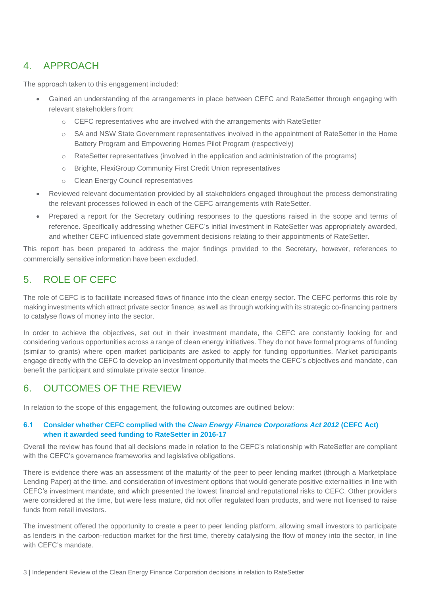### 4. APPROACH

The approach taken to this engagement included:

- Gained an understanding of the arrangements in place between CEFC and RateSetter through engaging with relevant stakeholders from:
	- o CEFC representatives who are involved with the arrangements with RateSetter
	- o SA and NSW State Government representatives involved in the appointment of RateSetter in the Home Battery Program and Empowering Homes Pilot Program (respectively)
	- o RateSetter representatives (involved in the application and administration of the programs)
	- o Brighte, FlexiGroup Community First Credit Union representatives
	- o Clean Energy Council representatives
- Reviewed relevant documentation provided by all stakeholders engaged throughout the process demonstrating the relevant processes followed in each of the CEFC arrangements with RateSetter.
- Prepared a report for the Secretary outlining responses to the questions raised in the scope and terms of reference. Specifically addressing whether CEFC's initial investment in RateSetter was appropriately awarded, and whether CEFC influenced state government decisions relating to their appointments of RateSetter.

This report has been prepared to address the major findings provided to the Secretary, however, references to commercially sensitive information have been excluded.

### 5. ROLE OF CEFC

The role of CEFC is to facilitate increased flows of finance into the clean energy sector. The CEFC performs this role by making investments which attract private sector finance, as well as through working with its strategic co-financing partners to catalyse flows of money into the sector.

In order to achieve the objectives, set out in their investment mandate, the CEFC are constantly looking for and considering various opportunities across a range of clean energy initiatives. They do not have formal programs of funding (similar to grants) where open market participants are asked to apply for funding opportunities. Market participants engage directly with the CEFC to develop an investment opportunity that meets the CEFC's objectives and mandate, can benefit the participant and stimulate private sector finance.

### 6. OUTCOMES OF THE REVIEW

In relation to the scope of this engagement, the following outcomes are outlined below:

### **6.1 Consider whether CEFC complied with the** *Clean Energy Finance Corporations Act 2012* **(CEFC Act) when it awarded seed funding to RateSetter in 2016-17**

Overall the review has found that all decisions made in relation to the CEFC's relationship with RateSetter are compliant with the CEFC's governance frameworks and legislative obligations.

There is evidence there was an assessment of the maturity of the peer to peer lending market (through a Marketplace Lending Paper) at the time, and consideration of investment options that would generate positive externalities in line with CEFC's investment mandate, and which presented the lowest financial and reputational risks to CEFC. Other providers were considered at the time, but were less mature, did not offer regulated loan products, and were not licensed to raise funds from retail investors.

The investment offered the opportunity to create a peer to peer lending platform, allowing small investors to participate as lenders in the carbon-reduction market for the first time, thereby catalysing the flow of money into the sector, in line with CEFC's mandate.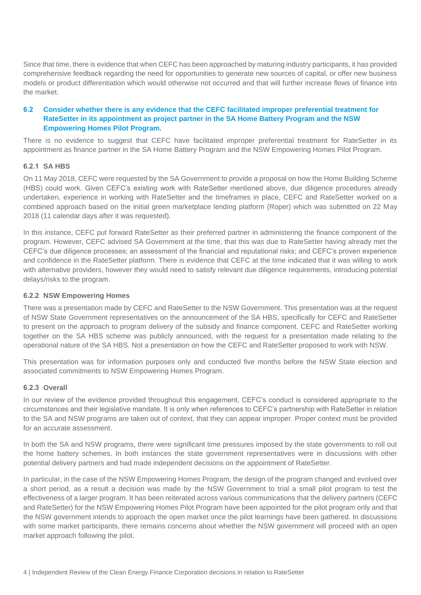Since that time, there is evidence that when CEFC has been approached by maturing industry participants, it has provided comprehensive feedback regarding the need for opportunities to generate new sources of capital, or offer new business models or product differentiation which would otherwise not occurred and that will further increase flows of finance into the market.

### **6.2 Consider whether there is any evidence that the CEFC facilitated improper preferential treatment for RateSetter in its appointment as project partner in the SA Home Battery Program and the NSW Empowering Homes Pilot Program.**

There is no evidence to suggest that CEFC have facilitated improper preferential treatment for RateSetter in its appointment as finance partner in the SA Home Battery Program and the NSW Empowering Homes Pilot Program.

#### **6.2.1 SA HBS**

On 11 May 2018, CEFC were requested by the SA Government to provide a proposal on how the Home Building Scheme (HBS) could work. Given CEFC's existing work with RateSetter mentioned above, due diligence procedures already undertaken, experience in working with RateSetter and the timeframes in place, CEFC and RateSetter worked on a combined approach based on the initial green marketplace lending platform (Roper) which was submitted on 22 May 2018 (11 calendar days after it was requested).

In this instance, CEFC put forward RateSetter as their preferred partner in administering the finance component of the program. However, CEFC advised SA Government at the time, that this was due to RateSetter having already met the CEFC's due diligence processes; an assessment of the financial and reputational risks; and CEFC's proven experience and confidence in the RateSetter platform. There is evidence that CEFC at the time indicated that it was willing to work with alternative providers, however they would need to satisfy relevant due diligence requirements, introducing potential delays/risks to the program.

#### **6.2.2 NSW Empowering Homes**

There was a presentation made by CEFC and RateSetter to the NSW Government. This presentation was at the request of NSW State Government representatives on the announcement of the SA HBS, specifically for CEFC and RateSetter to present on the approach to program delivery of the subsidy and finance component. CEFC and RateSetter working together on the SA HBS scheme was publicly announced, with the request for a presentation made relating to the operational nature of the SA HBS. Not a presentation on how the CEFC and RateSetter proposed to work with NSW.

This presentation was for information purposes only and conducted five months before the NSW State election and associated commitments to NSW Empowering Homes Program.

#### **6.2.3 Overall**

In our review of the evidence provided throughout this engagement, CEFC's conduct is considered appropriate to the circumstances and their legislative mandate. It is only when references to CEFC's partnership with RateSetter in relation to the SA and NSW programs are taken out of context, that they can appear improper. Proper context must be provided for an accurate assessment.

In both the SA and NSW programs, there were significant time pressures imposed by the state governments to roll out the home battery schemes. In both instances the state government representatives were in discussions with other potential delivery partners and had made independent decisions on the appointment of RateSetter.

In particular, in the case of the NSW Empowering Homes Program, the design of the program changed and evolved over a short period, as a result a decision was made by the NSW Government to trial a small pilot program to test the effectiveness of a larger program. It has been reiterated across various communications that the delivery partners (CEFC and RateSetter) for the NSW Empowering Homes Pilot Program have been appointed for the pilot program only and that the NSW government intends to approach the open market once the pilot learnings have been gathered. In discussions with some market participants, there remains concerns about whether the NSW government will proceed with an open market approach following the pilot.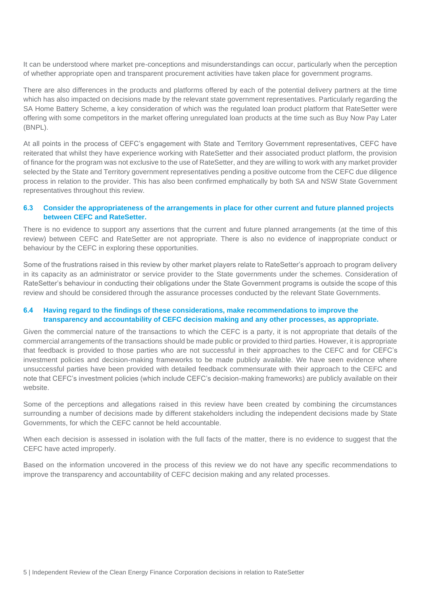It can be understood where market pre-conceptions and misunderstandings can occur, particularly when the perception of whether appropriate open and transparent procurement activities have taken place for government programs.

There are also differences in the products and platforms offered by each of the potential delivery partners at the time which has also impacted on decisions made by the relevant state government representatives. Particularly regarding the SA Home Battery Scheme, a key consideration of which was the regulated loan product platform that RateSetter were offering with some competitors in the market offering unregulated loan products at the time such as Buy Now Pay Later (BNPL).

At all points in the process of CEFC's engagement with State and Territory Government representatives, CEFC have reiterated that whilst they have experience working with RateSetter and their associated product platform, the provision of finance for the program was not exclusive to the use of RateSetter, and they are willing to work with any market provider selected by the State and Territory government representatives pending a positive outcome from the CEFC due diligence process in relation to the provider. This has also been confirmed emphatically by both SA and NSW State Government representatives throughout this review.

### **6.3 Consider the appropriateness of the arrangements in place for other current and future planned projects between CEFC and RateSetter.**

There is no evidence to support any assertions that the current and future planned arrangements (at the time of this review) between CEFC and RateSetter are not appropriate. There is also no evidence of inappropriate conduct or behaviour by the CEFC in exploring these opportunities.

Some of the frustrations raised in this review by other market players relate to RateSetter's approach to program delivery in its capacity as an administrator or service provider to the State governments under the schemes. Consideration of RateSetter's behaviour in conducting their obligations under the State Government programs is outside the scope of this review and should be considered through the assurance processes conducted by the relevant State Governments.

#### **6.4 Having regard to the findings of these considerations, make recommendations to improve the transparency and accountability of CEFC decision making and any other processes, as appropriate.**

Given the commercial nature of the transactions to which the CEFC is a party, it is not appropriate that details of the commercial arrangements of the transactions should be made public or provided to third parties. However, it is appropriate that feedback is provided to those parties who are not successful in their approaches to the CEFC and for CEFC's investment policies and decision-making frameworks to be made publicly available. We have seen evidence where unsuccessful parties have been provided with detailed feedback commensurate with their approach to the CEFC and note that CEFC's investment policies (which include CEFC's decision-making frameworks) are publicly available on their website.

Some of the perceptions and allegations raised in this review have been created by combining the circumstances surrounding a number of decisions made by different stakeholders including the independent decisions made by State Governments, for which the CEFC cannot be held accountable.

When each decision is assessed in isolation with the full facts of the matter, there is no evidence to suggest that the CEFC have acted improperly.

Based on the information uncovered in the process of this review we do not have any specific recommendations to improve the transparency and accountability of CEFC decision making and any related processes.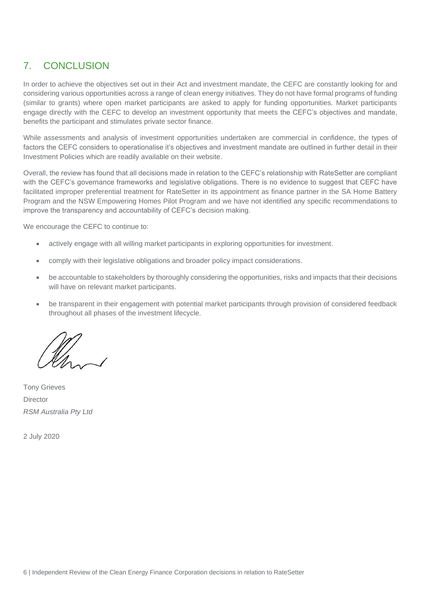# 7. CONCLUSION

In order to achieve the objectives set out in their Act and investment mandate, the CEFC are constantly looking for and considering various opportunities across a range of clean energy initiatives. They do not have formal programs of funding (similar to grants) where open market participants are asked to apply for funding opportunities. Market participants engage directly with the CEFC to develop an investment opportunity that meets the CEFC's objectives and mandate, benefits the participant and stimulates private sector finance.

While assessments and analysis of investment opportunities undertaken are commercial in confidence, the types of factors the CEFC considers to operationalise it's objectives and investment mandate are outlined in further detail in their Investment Policies which are readily available on their website.

Overall, the review has found that all decisions made in relation to the CEFC's relationship with RateSetter are compliant with the CEFC's governance frameworks and legislative obligations. There is no evidence to suggest that CEFC have facilitated improper preferential treatment for RateSetter in its appointment as finance partner in the SA Home Battery Program and the NSW Empowering Homes Pilot Program and we have not identified any specific recommendations to improve the transparency and accountability of CEFC's decision making.

We encourage the CEFC to continue to:

- actively engage with all willing market participants in exploring opportunities for investment.
- comply with their legislative obligations and broader policy impact considerations.
- be accountable to stakeholders by thoroughly considering the opportunities, risks and impacts that their decisions will have on relevant market participants.
- be transparent in their engagement with potential market participants through provision of considered feedback throughout all phases of the investment lifecycle.

Tony Grieves **Director** *RSM Australia Pty Ltd*

2 July 2020